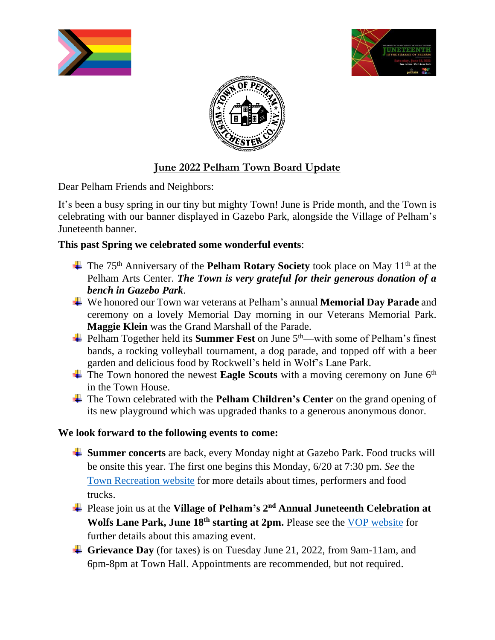





# **June 2022 Pelham Town Board Update**

Dear Pelham Friends and Neighbors:

It's been a busy spring in our tiny but mighty Town! June is Pride month, and the Town is celebrating with our banner displayed in Gazebo Park, alongside the Village of Pelham's Juneteenth banner.

## **This past Spring we celebrated some wonderful events**:

- <sup>+</sup> The 75<sup>th</sup> Anniversary of the **Pelham Rotary Society** took place on May 11<sup>th</sup> at the Pelham Arts Center. *The Town is very grateful for their generous donation of a bench in Gazebo Park*.
- We honored our Town war veterans at Pelham's annual **Memorial Day Parade** and ceremony on a lovely Memorial Day morning in our Veterans Memorial Park. **Maggie Klein** was the Grand Marshall of the Parade.
- $\frac{1}{\sqrt{1}}$  Pelham Together held its **Summer Fest** on June 5<sup>th</sup>—with some of Pelham's finest bands, a rocking volleyball tournament, a dog parade, and topped off with a beer garden and delicious food by Rockwell's held in Wolf's Lane Park.
- $\pm$  The Town honored the newest **Eagle Scouts** with a moving ceremony on June 6<sup>th</sup> in the Town House.
- The Town celebrated with the **Pelham Children's Center** on the grand opening of its new playground which was upgraded thanks to a generous anonymous donor.

#### **We look forward to the following events to come:**

- **Summer concerts** are back, every Monday night at Gazebo Park. Food trucks will be onsite this year. The first one begins this Monday, 6/20 at 7:30 pm. *See* the Town [Recreation](https://www.pelhamrecreation.com/docs/summer%20concerts%20schedule%202022.pdf) website for more details about times, performers and food trucks.
- Please join us at the **Village of Pelham's 2 nd Annual Juneteenth Celebration at Wolfs Lane Park, June 18th starting at 2pm.** Please see the VOP [website](https://www.pelhamgov.com/home/news/2nd-annual-juneteenth-celebration-wolfs-lane-park) for further details about this amazing event.
- **Grievance Day** (for taxes) is on Tuesday June 21, 2022, from 9am-11am, and 6pm-8pm at Town Hall. Appointments are recommended, but not required.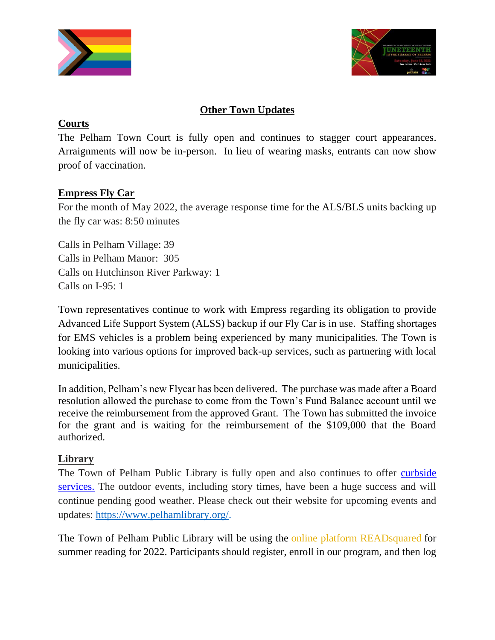



# **Other Town Updates**

#### **Courts**

The Pelham Town Court is fully open and continues to stagger court appearances. Arraignments will now be in-person. In lieu of wearing masks, entrants can now show proof of vaccination.

#### **Empress Fly Car**

For the month of May 2022, the average response time for the ALS/BLS units backing up the fly car was: 8:50 minutes

Calls in Pelham Village: 39 Calls in Pelham Manor: 305 Calls on Hutchinson River Parkway: 1 Calls on I-95: 1

Town representatives continue to work with Empress regarding its obligation to provide Advanced Life Support System (ALSS) backup if our Fly Car is in use. Staffing shortages for EMS vehicles is a problem being experienced by many municipalities. The Town is looking into various options for improved back-up services, such as partnering with local municipalities.

In addition, Pelham's new Flycar has been delivered. The purchase was made after a Board resolution allowed the purchase to come from the Town's Fund Balance account until we receive the reimbursement from the approved Grant. The Town has submitted the invoice for the grant and is waiting for the reimbursement of the \$109,000 that the Board authorized.

#### **Library**

The Town of Pelham Public Library is fully open and also continues to offer curbside [services.](http://r20.rs6.net/tn.jsp?f=001LMKpAo3PmkYFdoVR75IR4yKWj4eZhDVrZnDJWXr9OOzRbNFwW8q_UsgHxVRX2W_K5igOfSUDNi-Ab52hYzMs28J1dPzk8_Q4aSx75CbV5cnNjWwBqOoze-Dzh5C04Q2hj7sXClPajG-royQ2_YM5hnJ33sPLyd7a7pLYvpVG3R9MnJuPQxm9FhpZYOG268rEP-H1FEzYyWXz0Q7P0pOMSA==&c=dHHajHG2WFrjU4oHycj3HEVOTBw2zUE_Dpj57CrjvM2_PGbaBjKNMQ==&ch=yHY-R6sF1dY3NBjV--A13Q-AT1flv6VBH07BNsD8usLo2nEwoeLbNQ==) The outdoor events, including story times, have been a huge success and will continue pending good weather. Please check out their website for upcoming events and updates: [https://www.pelhamlibrary.org/.](https://www.pelhamlibrary.org/)

The Town of Pelham Public Library will be using the online platform [READsquared](http://pelhamny05.readsquared.com/#!) for summer reading for 2022. Participants should register, enroll in our program, and then log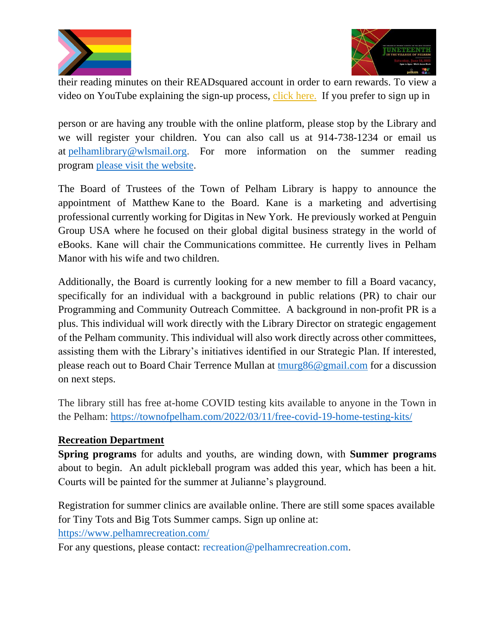



their reading minutes on their READsquared account in order to earn rewards. To view a video on YouTube explaining the sign-up process, click [here.](https://www.youtube.com/watch?v=8lyug6ahho8&t=28s) If you prefer to sign up in

person or are having any trouble with the online platform, please stop by the Library and we will register your children. You can also call us at 914-738-1234 or email us at [pelhamlibrary@wlsmail.org.](mailto:pelhamlibrary@wlsmail.org) For more information on the summer reading program please visit the [website.](https://www.pelhamlibrary.org/children/childrens-summer-reading-program/)

The Board of Trustees of the Town of Pelham Library is happy to announce the appointment of Matthew Kane to the Board. Kane is a marketing and advertising professional currently working for Digitas in New York. He previously worked at Penguin Group USA where he focused on their global digital business strategy in the world of eBooks. Kane will chair the Communications committee. He currently lives in Pelham Manor with his wife and two children.

Additionally, the Board is currently looking for a new member to fill a Board vacancy, specifically for an individual with a background in public relations (PR) to chair our Programming and Community Outreach Committee. A background in non-profit PR is a plus. This individual will work directly with the Library Director on strategic engagement of the Pelham community. This individual will also work directly across other committees, assisting them with the Library's initiatives identified in our Strategic Plan. If interested, please reach out to Board Chair Terrence Mullan at [tmurg86@gmail.com](mailto:tmurg86@gmail.com) for a discussion on next steps.

The library still has free at-home COVID testing kits available to anyone in the Town in the Pelham: <https://townofpelham.com/2022/03/11/free-covid-19-home-testing-kits/>

#### **Recreation Department**

**Spring programs** for adults and youths, are winding down, with **Summer programs** about to begin. An adult pickleball program was added this year, which has been a hit. Courts will be painted for the summer at Julianne's playground.

Registration for summer clinics are available online. There are still some spaces available for Tiny Tots and Big Tots Summer camps. Sign up online at: <https://www.pelhamrecreation.com/>

For any questions, please contact: recreation@pelhamrecreation.com.